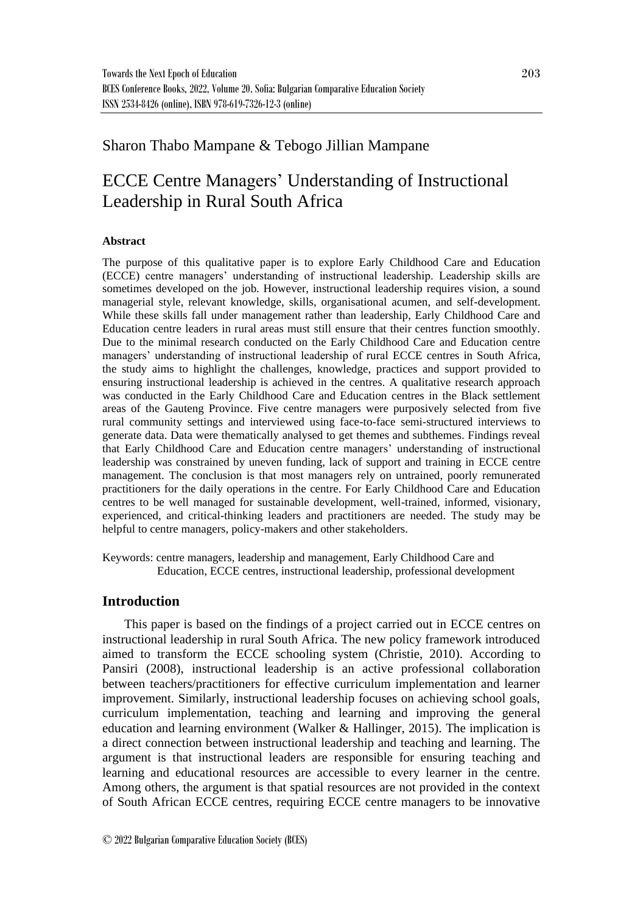# Sharon Thabo Mampane & Tebogo Jillian Mampane

# ECCE Centre Managers' Understanding of Instructional Leadership in Rural South Africa

#### **Abstract**

The purpose of this qualitative paper is to explore Early Childhood Care and Education (ECCE) centre managers' understanding of instructional leadership. Leadership skills are sometimes developed on the job. However, instructional leadership requires vision, a sound managerial style, relevant knowledge, skills, organisational acumen, and self-development. While these skills fall under management rather than leadership, Early Childhood Care and Education centre leaders in rural areas must still ensure that their centres function smoothly. Due to the minimal research conducted on the Early Childhood Care and Education centre managers' understanding of instructional leadership of rural ECCE centres in South Africa, the study aims to highlight the challenges, knowledge, practices and support provided to ensuring instructional leadership is achieved in the centres. A qualitative research approach was conducted in the Early Childhood Care and Education centres in the Black settlement areas of the Gauteng Province. Five centre managers were purposively selected from five rural community settings and interviewed using face-to-face semi-structured interviews to generate data. Data were thematically analysed to get themes and subthemes. Findings reveal that Early Childhood Care and Education centre managers' understanding of instructional leadership was constrained by uneven funding, lack of support and training in ECCE centre management. The conclusion is that most managers rely on untrained, poorly remunerated practitioners for the daily operations in the centre. For Early Childhood Care and Education centres to be well managed for sustainable development, well-trained, informed, visionary, experienced, and critical-thinking leaders and practitioners are needed. The study may be helpful to centre managers, policy-makers and other stakeholders.

Keywords: centre managers, leadership and management, Early Childhood Care and Education, ECCE centres, instructional leadership, professional development

## **Introduction**

This paper is based on the findings of a project carried out in ECCE centres on instructional leadership in rural South Africa. The new policy framework introduced aimed to transform the ECCE schooling system (Christie, 2010). According to Pansiri (2008), instructional leadership is an active professional collaboration between teachers/practitioners for effective curriculum implementation and learner improvement. Similarly, instructional leadership focuses on achieving school goals, curriculum implementation, teaching and learning and improving the general education and learning environment (Walker  $\&$  Hallinger, 2015). The implication is a direct connection between instructional leadership and teaching and learning. The argument is that instructional leaders are responsible for ensuring teaching and learning and educational resources are accessible to every learner in the centre. Among others, the argument is that spatial resources are not provided in the context of South African ECCE centres, requiring ECCE centre managers to be innovative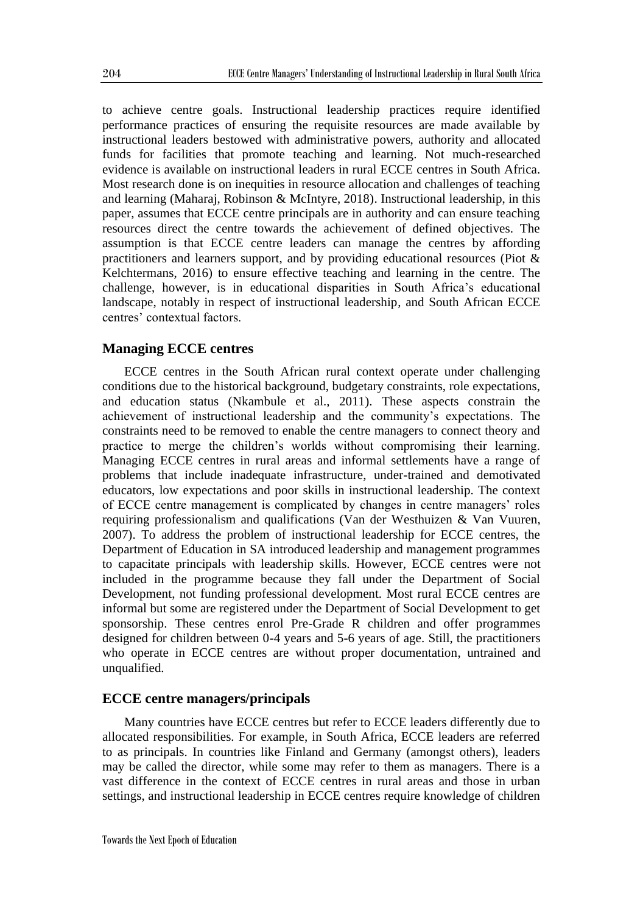to achieve centre goals. Instructional leadership practices require identified performance practices of ensuring the requisite resources are made available by instructional leaders bestowed with administrative powers, authority and allocated funds for facilities that promote teaching and learning. Not much-researched evidence is available on instructional leaders in rural ECCE centres in South Africa. Most research done is on inequities in resource allocation and challenges of teaching and learning (Maharaj, Robinson & McIntyre, 2018). Instructional leadership, in this paper, assumes that ECCE centre principals are in authority and can ensure teaching resources direct the centre towards the achievement of defined objectives. The assumption is that ECCE centre leaders can manage the centres by affording practitioners and learners support, and by providing educational resources (Piot & Kelchtermans, 2016) to ensure effective teaching and learning in the centre. The challenge, however, is in educational disparities in South Africa's educational landscape, notably in respect of instructional leadership, and South African ECCE centres' contextual factors.

## **Managing ECCE centres**

ECCE centres in the South African rural context operate under challenging conditions due to the historical background, budgetary constraints, role expectations, and education status (Nkambule et al., 2011). These aspects constrain the achievement of instructional leadership and the community's expectations. The constraints need to be removed to enable the centre managers to connect theory and practice to merge the children's worlds without compromising their learning. Managing ECCE centres in rural areas and informal settlements have a range of problems that include inadequate infrastructure, under-trained and demotivated educators, low expectations and poor skills in instructional leadership. The context of ECCE centre management is complicated by changes in centre managers' roles requiring professionalism and qualifications (Van der Westhuizen & Van Vuuren, 2007). To address the problem of instructional leadership for ECCE centres, the Department of Education in SA introduced leadership and management programmes to capacitate principals with leadership skills. However, ECCE centres were not included in the programme because they fall under the Department of Social Development, not funding professional development. Most rural ECCE centres are informal but some are registered under the Department of Social Development to get sponsorship. These centres enrol Pre-Grade R children and offer programmes designed for children between 0-4 years and 5-6 years of age. Still, the practitioners who operate in ECCE centres are without proper documentation, untrained and unqualified.

#### **ECCE centre managers/principals**

Many countries have ECCE centres but refer to ECCE leaders differently due to allocated responsibilities. For example, in South Africa, ECCE leaders are referred to as principals. In countries like Finland and Germany (amongst others), leaders may be called the director, while some may refer to them as managers. There is a vast difference in the context of ECCE centres in rural areas and those in urban settings, and instructional leadership in ECCE centres require knowledge of children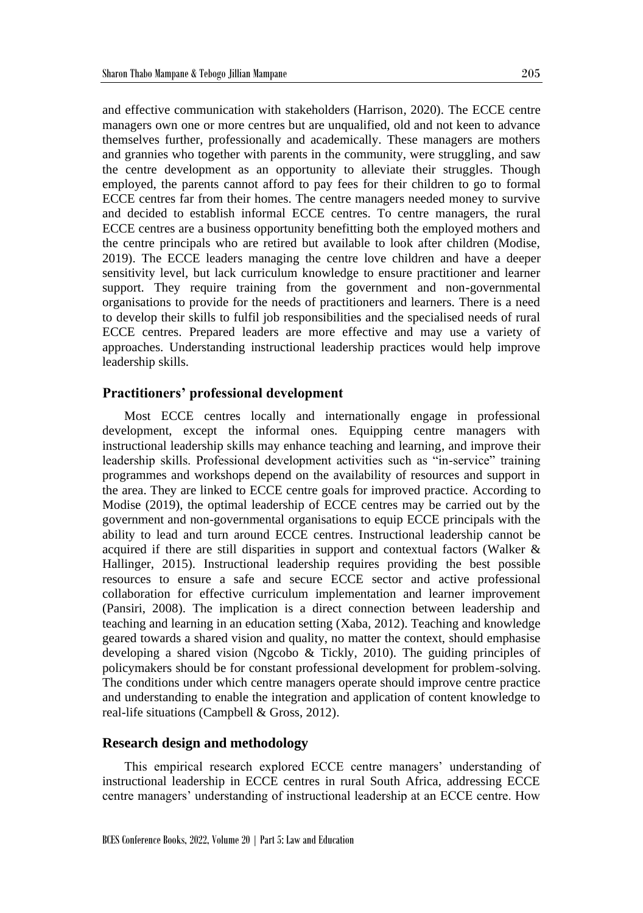and effective communication with stakeholders (Harrison, 2020). The ECCE centre managers own one or more centres but are unqualified, old and not keen to advance themselves further, professionally and academically. These managers are mothers and grannies who together with parents in the community, were struggling, and saw the centre development as an opportunity to alleviate their struggles. Though employed, the parents cannot afford to pay fees for their children to go to formal ECCE centres far from their homes. The centre managers needed money to survive and decided to establish informal ECCE centres. To centre managers, the rural ECCE centres are a business opportunity benefitting both the employed mothers and the centre principals who are retired but available to look after children (Modise, 2019). The ECCE leaders managing the centre love children and have a deeper sensitivity level, but lack curriculum knowledge to ensure practitioner and learner support. They require training from the government and non-governmental organisations to provide for the needs of practitioners and learners. There is a need to develop their skills to fulfil job responsibilities and the specialised needs of rural ECCE centres. Prepared leaders are more effective and may use a variety of approaches. Understanding instructional leadership practices would help improve leadership skills.

#### **Practitioners' professional development**

Most ECCE centres locally and internationally engage in professional development, except the informal ones. Equipping centre managers with instructional leadership skills may enhance teaching and learning, and improve their leadership skills. Professional development activities such as "in-service" training programmes and workshops depend on the availability of resources and support in the area. They are linked to ECCE centre goals for improved practice. According to Modise (2019), the optimal leadership of ECCE centres may be carried out by the government and non-governmental organisations to equip ECCE principals with the ability to lead and turn around ECCE centres. Instructional leadership cannot be acquired if there are still disparities in support and contextual factors (Walker & Hallinger, 2015). Instructional leadership requires providing the best possible resources to ensure a safe and secure ECCE sector and active professional collaboration for effective curriculum implementation and learner improvement (Pansiri, 2008). The implication is a direct connection between leadership and teaching and learning in an education setting (Xaba, 2012). Teaching and knowledge geared towards a shared vision and quality, no matter the context, should emphasise developing a shared vision (Ngcobo & Tickly, 2010). The guiding principles of policymakers should be for constant professional development for problem-solving. The conditions under which centre managers operate should improve centre practice and understanding to enable the integration and application of content knowledge to real-life situations (Campbell & Gross, 2012).

## **Research design and methodology**

This empirical research explored ECCE centre managers' understanding of instructional leadership in ECCE centres in rural South Africa, addressing ECCE centre managers' understanding of instructional leadership at an ECCE centre. How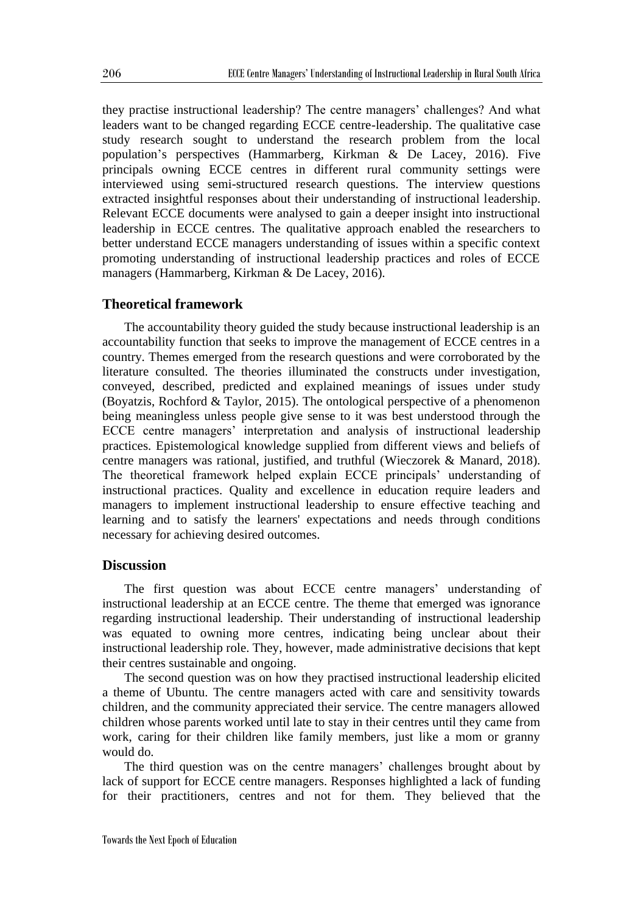they practise instructional leadership? The centre managers' challenges? And what leaders want to be changed regarding ECCE centre-leadership. The qualitative case study research sought to understand the research problem from the local population's perspectives (Hammarberg, Kirkman & De Lacey, 2016). Five principals owning ECCE centres in different rural community settings were interviewed using semi-structured research questions. The interview questions extracted insightful responses about their understanding of instructional leadership. Relevant ECCE documents were analysed to gain a deeper insight into instructional leadership in ECCE centres. The qualitative approach enabled the researchers to better understand ECCE managers understanding of issues within a specific context promoting understanding of instructional leadership practices and roles of ECCE managers (Hammarberg, Kirkman & De Lacey, 2016).

## **Theoretical framework**

The accountability theory guided the study because instructional leadership is an accountability function that seeks to improve the management of ECCE centres in a country. Themes emerged from the research questions and were corroborated by the literature consulted. The theories illuminated the constructs under investigation, conveyed, described, predicted and explained meanings of issues under study (Boyatzis, Rochford & Taylor, 2015). The ontological perspective of a phenomenon being meaningless unless people give sense to it was best understood through the ECCE centre managers' interpretation and analysis of instructional leadership practices. Epistemological knowledge supplied from different views and beliefs of centre managers was rational, justified, and truthful (Wieczorek & Manard, 2018). The theoretical framework helped explain ECCE principals' understanding of instructional practices. Quality and excellence in education require leaders and managers to implement instructional leadership to ensure effective teaching and learning and to satisfy the learners' expectations and needs through conditions necessary for achieving desired outcomes.

#### **Discussion**

The first question was about ECCE centre managers' understanding of instructional leadership at an ECCE centre. The theme that emerged was ignorance regarding instructional leadership. Their understanding of instructional leadership was equated to owning more centres, indicating being unclear about their instructional leadership role. They, however, made administrative decisions that kept their centres sustainable and ongoing.

The second question was on how they practised instructional leadership elicited a theme of Ubuntu. The centre managers acted with care and sensitivity towards children, and the community appreciated their service. The centre managers allowed children whose parents worked until late to stay in their centres until they came from work, caring for their children like family members, just like a mom or granny would do.

The third question was on the centre managers' challenges brought about by lack of support for ECCE centre managers. Responses highlighted a lack of funding for their practitioners, centres and not for them. They believed that the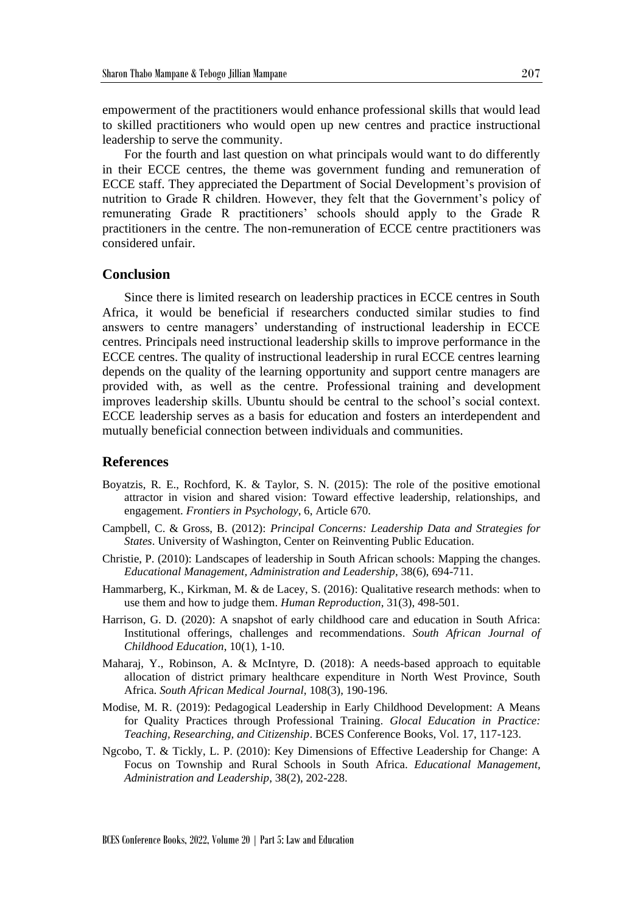empowerment of the practitioners would enhance professional skills that would lead to skilled practitioners who would open up new centres and practice instructional leadership to serve the community.

For the fourth and last question on what principals would want to do differently in their ECCE centres, the theme was government funding and remuneration of ECCE staff. They appreciated the Department of Social Development's provision of nutrition to Grade R children. However, they felt that the Government's policy of remunerating Grade R practitioners' schools should apply to the Grade R practitioners in the centre. The non-remuneration of ECCE centre practitioners was considered unfair.

#### **Conclusion**

Since there is limited research on leadership practices in ECCE centres in South Africa, it would be beneficial if researchers conducted similar studies to find answers to centre managers' understanding of instructional leadership in ECCE centres. Principals need instructional leadership skills to improve performance in the ECCE centres. The quality of instructional leadership in rural ECCE centres learning depends on the quality of the learning opportunity and support centre managers are provided with, as well as the centre. Professional training and development improves leadership skills. Ubuntu should be central to the school's social context. ECCE leadership serves as a basis for education and fosters an interdependent and mutually beneficial connection between individuals and communities.

#### **References**

- Boyatzis, R. E., Rochford, K. & Taylor, S. N. (2015): The role of the positive emotional attractor in vision and shared vision: Toward effective leadership, relationships, and engagement. *Frontiers in Psychology*, 6, Article 670.
- Campbell, C. & Gross, B. (2012): *Principal Concerns: Leadership Data and Strategies for States*. University of Washington, Center on Reinventing Public Education.
- Christie, P. (2010): Landscapes of leadership in South African schools: Mapping the changes. *Educational Management, Administration and Leadership*, 38(6), 694-711.
- Hammarberg, K., Kirkman, M. & de Lacey, S. (2016): Qualitative research methods: when to use them and how to judge them. *Human Reproduction*, 31(3), 498-501.
- Harrison, G. D. (2020): A snapshot of early childhood care and education in South Africa: Institutional offerings, challenges and recommendations. *South African Journal of Childhood Education*, 10(1), 1-10.
- Maharaj, Y., Robinson, A. & McIntyre, D. (2018): A needs-based approach to equitable allocation of district primary healthcare expenditure in North West Province, South Africa. *South African Medical Journal*, 108(3), 190-196.
- Modise, M. R. (2019): Pedagogical Leadership in Early Childhood Development: A Means for Quality Practices through Professional Training. *Glocal Education in Practice: Teaching, Researching, and Citizenship*. BCES Conference Books, Vol. 17, 117-123.
- Ngcobo, T. & Tickly, L. P. (2010): Key Dimensions of Effective Leadership for Change: A Focus on Township and Rural Schools in South Africa. *Educational Management, Administration and Leadership*, 38(2), 202-228.